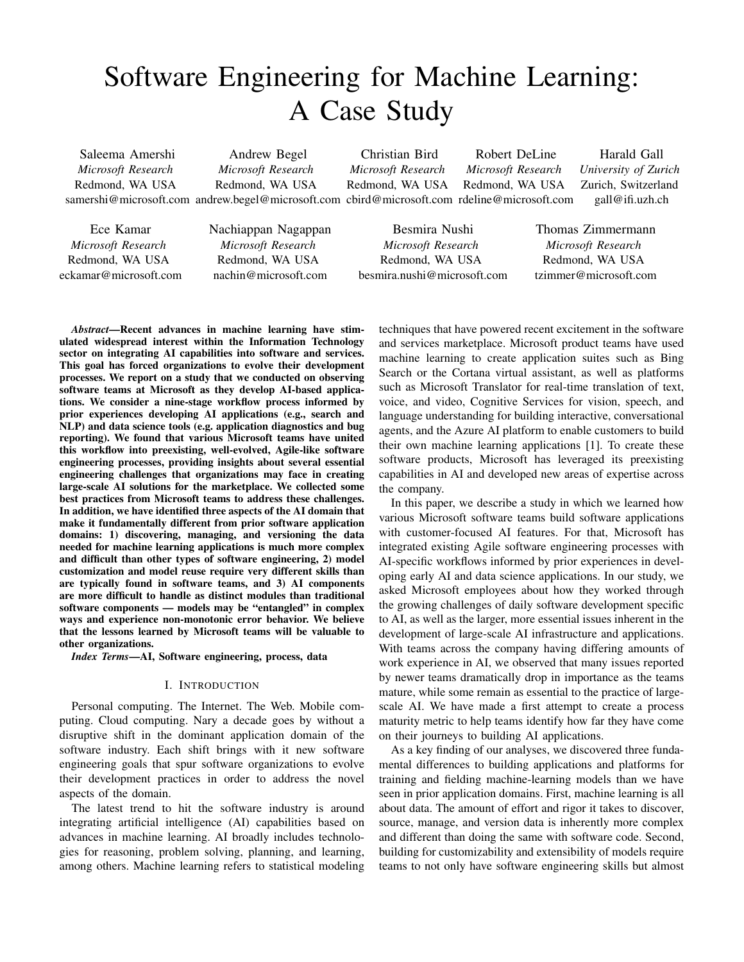# Software Engineering for Machine Learning: A Case Study

Saleema Amershi *Microsoft Research* Redmond, WA USA samershi@microsoft.com andrew.begel@microsoft.com cbird@microsoft.com rdeline@microsoft.com Andrew Begel *Microsoft Research* Redmond, WA USA Christian Bird *Microsoft Research* Redmond, WA USA

Robert DeLine *Microsoft Research* Redmond, WA USA

Harald Gall *University of Zurich* Zurich, Switzerland gall@ifi.uzh.ch

Ece Kamar *Microsoft Research* Redmond, WA USA eckamar@microsoft.com Nachiappan Nagappan *Microsoft Research* Redmond, WA USA nachin@microsoft.com

Besmira Nushi *Microsoft Research* Redmond, WA USA besmira.nushi@microsoft.com Thomas Zimmermann *Microsoft Research* Redmond, WA USA tzimmer@microsoft.com

*Abstract*—Recent advances in machine learning have stimulated widespread interest within the Information Technology sector on integrating AI capabilities into software and services. This goal has forced organizations to evolve their development processes. We report on a study that we conducted on observing software teams at Microsoft as they develop AI-based applications. We consider a nine-stage workflow process informed by prior experiences developing AI applications (e.g., search and NLP) and data science tools (e.g. application diagnostics and bug reporting). We found that various Microsoft teams have united this workflow into preexisting, well-evolved, Agile-like software engineering processes, providing insights about several essential engineering challenges that organizations may face in creating large-scale AI solutions for the marketplace. We collected some best practices from Microsoft teams to address these challenges. In addition, we have identified three aspects of the AI domain that make it fundamentally different from prior software application domains: 1) discovering, managing, and versioning the data needed for machine learning applications is much more complex and difficult than other types of software engineering, 2) model customization and model reuse require very different skills than are typically found in software teams, and 3) AI components are more difficult to handle as distinct modules than traditional software components — models may be "entangled" in complex ways and experience non-monotonic error behavior. We believe that the lessons learned by Microsoft teams will be valuable to other organizations.

*Index Terms*—AI, Software engineering, process, data

### I. INTRODUCTION

Personal computing. The Internet. The Web. Mobile computing. Cloud computing. Nary a decade goes by without a disruptive shift in the dominant application domain of the software industry. Each shift brings with it new software engineering goals that spur software organizations to evolve their development practices in order to address the novel aspects of the domain.

The latest trend to hit the software industry is around integrating artificial intelligence (AI) capabilities based on advances in machine learning. AI broadly includes technologies for reasoning, problem solving, planning, and learning, among others. Machine learning refers to statistical modeling techniques that have powered recent excitement in the software and services marketplace. Microsoft product teams have used machine learning to create application suites such as Bing Search or the Cortana virtual assistant, as well as platforms such as Microsoft Translator for real-time translation of text, voice, and video, Cognitive Services for vision, speech, and language understanding for building interactive, conversational agents, and the Azure AI platform to enable customers to build their own machine learning applications [1]. To create these software products, Microsoft has leveraged its preexisting capabilities in AI and developed new areas of expertise across the company.

In this paper, we describe a study in which we learned how various Microsoft software teams build software applications with customer-focused AI features. For that, Microsoft has integrated existing Agile software engineering processes with AI-specific workflows informed by prior experiences in developing early AI and data science applications. In our study, we asked Microsoft employees about how they worked through the growing challenges of daily software development specific to AI, as well as the larger, more essential issues inherent in the development of large-scale AI infrastructure and applications. With teams across the company having differing amounts of work experience in AI, we observed that many issues reported by newer teams dramatically drop in importance as the teams mature, while some remain as essential to the practice of largescale AI. We have made a first attempt to create a process maturity metric to help teams identify how far they have come on their journeys to building AI applications.

As a key finding of our analyses, we discovered three fundamental differences to building applications and platforms for training and fielding machine-learning models than we have seen in prior application domains. First, machine learning is all about data. The amount of effort and rigor it takes to discover, source, manage, and version data is inherently more complex and different than doing the same with software code. Second, building for customizability and extensibility of models require teams to not only have software engineering skills but almost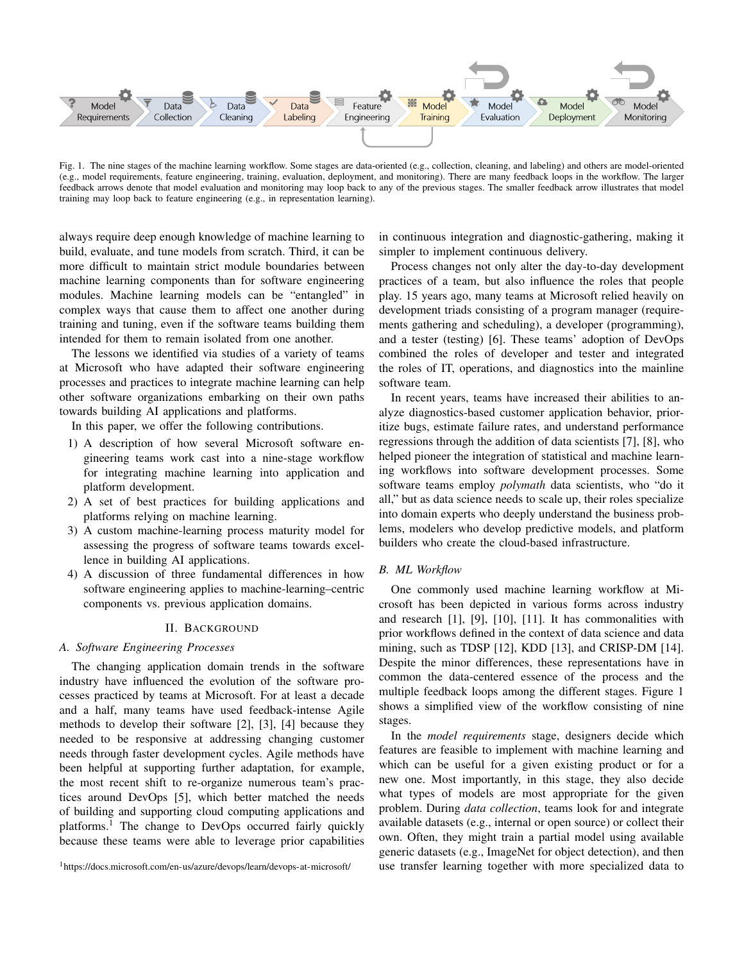

Fig. 1. The nine stages of the machine learning workflow. Some stages are data-oriented (e.g., collection, cleaning, and labeling) and others are model-oriented (e.g., model requirements, feature engineering, training, evaluation, deployment, and monitoring). There are many feedback loops in the workflow. The larger feedback arrows denote that model evaluation and monitoring may loop back to any of the previous stages. The smaller feedback arrow illustrates that model training may loop back to feature engineering (e.g., in representation learning).

always require deep enough knowledge of machine learning to build, evaluate, and tune models from scratch. Third, it can be more difficult to maintain strict module boundaries between machine learning components than for software engineering modules. Machine learning models can be "entangled" in complex ways that cause them to affect one another during training and tuning, even if the software teams building them intended for them to remain isolated from one another.

The lessons we identified via studies of a variety of teams at Microsoft who have adapted their software engineering processes and practices to integrate machine learning can help other software organizations embarking on their own paths towards building AI applications and platforms.

In this paper, we offer the following contributions.

- 1) A description of how several Microsoft software engineering teams work cast into a nine-stage workflow for integrating machine learning into application and platform development.
- 2) A set of best practices for building applications and platforms relying on machine learning.
- 3) A custom machine-learning process maturity model for assessing the progress of software teams towards excellence in building AI applications.
- 4) A discussion of three fundamental differences in how software engineering applies to machine-learning–centric components vs. previous application domains.

# II. BACKGROUND

# *A. Software Engineering Processes*

The changing application domain trends in the software industry have influenced the evolution of the software processes practiced by teams at Microsoft. For at least a decade and a half, many teams have used feedback-intense Agile methods to develop their software [2], [3], [4] because they needed to be responsive at addressing changing customer needs through faster development cycles. Agile methods have been helpful at supporting further adaptation, for example, the most recent shift to re-organize numerous team's practices around DevOps [5], which better matched the needs of building and supporting cloud computing applications and platforms.<sup>1</sup> The change to DevOps occurred fairly quickly because these teams were able to leverage prior capabilities

<sup>1</sup>https://docs.microsoft.com/en-us/azure/devops/learn/devops-at-microsoft/

in continuous integration and diagnostic-gathering, making it simpler to implement continuous delivery.

Process changes not only alter the day-to-day development practices of a team, but also influence the roles that people play. 15 years ago, many teams at Microsoft relied heavily on development triads consisting of a program manager (requirements gathering and scheduling), a developer (programming), and a tester (testing) [6]. These teams' adoption of DevOps combined the roles of developer and tester and integrated the roles of IT, operations, and diagnostics into the mainline software team.

In recent years, teams have increased their abilities to analyze diagnostics-based customer application behavior, prioritize bugs, estimate failure rates, and understand performance regressions through the addition of data scientists [7], [8], who helped pioneer the integration of statistical and machine learning workflows into software development processes. Some software teams employ *polymath* data scientists, who "do it all," but as data science needs to scale up, their roles specialize into domain experts who deeply understand the business problems, modelers who develop predictive models, and platform builders who create the cloud-based infrastructure.

#### *B. ML Workflow*

One commonly used machine learning workflow at Microsoft has been depicted in various forms across industry and research [1], [9], [10], [11]. It has commonalities with prior workflows defined in the context of data science and data mining, such as TDSP [12], KDD [13], and CRISP-DM [14]. Despite the minor differences, these representations have in common the data-centered essence of the process and the multiple feedback loops among the different stages. Figure 1 shows a simplified view of the workflow consisting of nine stages.

In the *model requirements* stage, designers decide which features are feasible to implement with machine learning and which can be useful for a given existing product or for a new one. Most importantly, in this stage, they also decide what types of models are most appropriate for the given problem. During *data collection*, teams look for and integrate available datasets (e.g., internal or open source) or collect their own. Often, they might train a partial model using available generic datasets (e.g., ImageNet for object detection), and then use transfer learning together with more specialized data to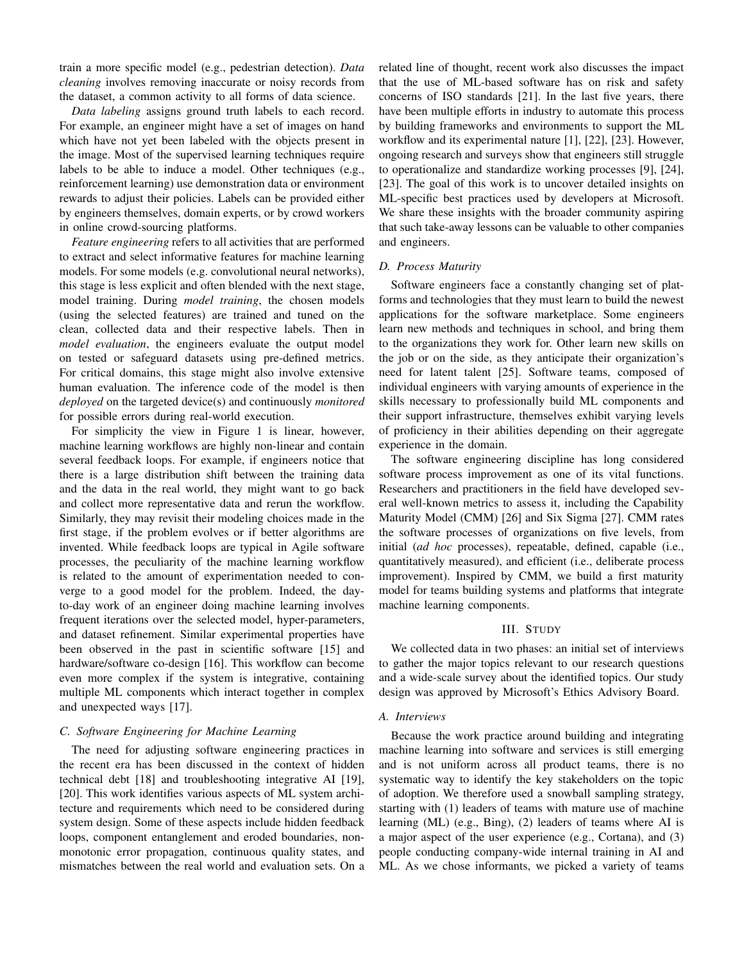train a more specific model (e.g., pedestrian detection). *Data cleaning* involves removing inaccurate or noisy records from the dataset, a common activity to all forms of data science.

*Data labeling* assigns ground truth labels to each record. For example, an engineer might have a set of images on hand which have not yet been labeled with the objects present in the image. Most of the supervised learning techniques require labels to be able to induce a model. Other techniques (e.g., reinforcement learning) use demonstration data or environment rewards to adjust their policies. Labels can be provided either by engineers themselves, domain experts, or by crowd workers in online crowd-sourcing platforms.

*Feature engineering* refers to all activities that are performed to extract and select informative features for machine learning models. For some models (e.g. convolutional neural networks), this stage is less explicit and often blended with the next stage, model training. During *model training*, the chosen models (using the selected features) are trained and tuned on the clean, collected data and their respective labels. Then in *model evaluation*, the engineers evaluate the output model on tested or safeguard datasets using pre-defined metrics. For critical domains, this stage might also involve extensive human evaluation. The inference code of the model is then *deployed* on the targeted device(s) and continuously *monitored* for possible errors during real-world execution.

For simplicity the view in Figure 1 is linear, however, machine learning workflows are highly non-linear and contain several feedback loops. For example, if engineers notice that there is a large distribution shift between the training data and the data in the real world, they might want to go back and collect more representative data and rerun the workflow. Similarly, they may revisit their modeling choices made in the first stage, if the problem evolves or if better algorithms are invented. While feedback loops are typical in Agile software processes, the peculiarity of the machine learning workflow is related to the amount of experimentation needed to converge to a good model for the problem. Indeed, the dayto-day work of an engineer doing machine learning involves frequent iterations over the selected model, hyper-parameters, and dataset refinement. Similar experimental properties have been observed in the past in scientific software [15] and hardware/software co-design [16]. This workflow can become even more complex if the system is integrative, containing multiple ML components which interact together in complex and unexpected ways [17].

#### *C. Software Engineering for Machine Learning*

The need for adjusting software engineering practices in the recent era has been discussed in the context of hidden technical debt [18] and troubleshooting integrative AI [19], [20]. This work identifies various aspects of ML system architecture and requirements which need to be considered during system design. Some of these aspects include hidden feedback loops, component entanglement and eroded boundaries, nonmonotonic error propagation, continuous quality states, and mismatches between the real world and evaluation sets. On a

related line of thought, recent work also discusses the impact that the use of ML-based software has on risk and safety concerns of ISO standards [21]. In the last five years, there have been multiple efforts in industry to automate this process by building frameworks and environments to support the ML workflow and its experimental nature [1], [22], [23]. However, ongoing research and surveys show that engineers still struggle to operationalize and standardize working processes [9], [24], [23]. The goal of this work is to uncover detailed insights on ML-specific best practices used by developers at Microsoft. We share these insights with the broader community aspiring that such take-away lessons can be valuable to other companies and engineers.

#### *D. Process Maturity*

Software engineers face a constantly changing set of platforms and technologies that they must learn to build the newest applications for the software marketplace. Some engineers learn new methods and techniques in school, and bring them to the organizations they work for. Other learn new skills on the job or on the side, as they anticipate their organization's need for latent talent [25]. Software teams, composed of individual engineers with varying amounts of experience in the skills necessary to professionally build ML components and their support infrastructure, themselves exhibit varying levels of proficiency in their abilities depending on their aggregate experience in the domain.

The software engineering discipline has long considered software process improvement as one of its vital functions. Researchers and practitioners in the field have developed several well-known metrics to assess it, including the Capability Maturity Model (CMM) [26] and Six Sigma [27]. CMM rates the software processes of organizations on five levels, from initial (*ad hoc* processes), repeatable, defined, capable (i.e., quantitatively measured), and efficient (i.e., deliberate process improvement). Inspired by CMM, we build a first maturity model for teams building systems and platforms that integrate machine learning components.

#### III. STUDY

We collected data in two phases: an initial set of interviews to gather the major topics relevant to our research questions and a wide-scale survey about the identified topics. Our study design was approved by Microsoft's Ethics Advisory Board.

#### *A. Interviews*

Because the work practice around building and integrating machine learning into software and services is still emerging and is not uniform across all product teams, there is no systematic way to identify the key stakeholders on the topic of adoption. We therefore used a snowball sampling strategy, starting with (1) leaders of teams with mature use of machine learning (ML) (e.g., Bing), (2) leaders of teams where AI is a major aspect of the user experience (e.g., Cortana), and (3) people conducting company-wide internal training in AI and ML. As we chose informants, we picked a variety of teams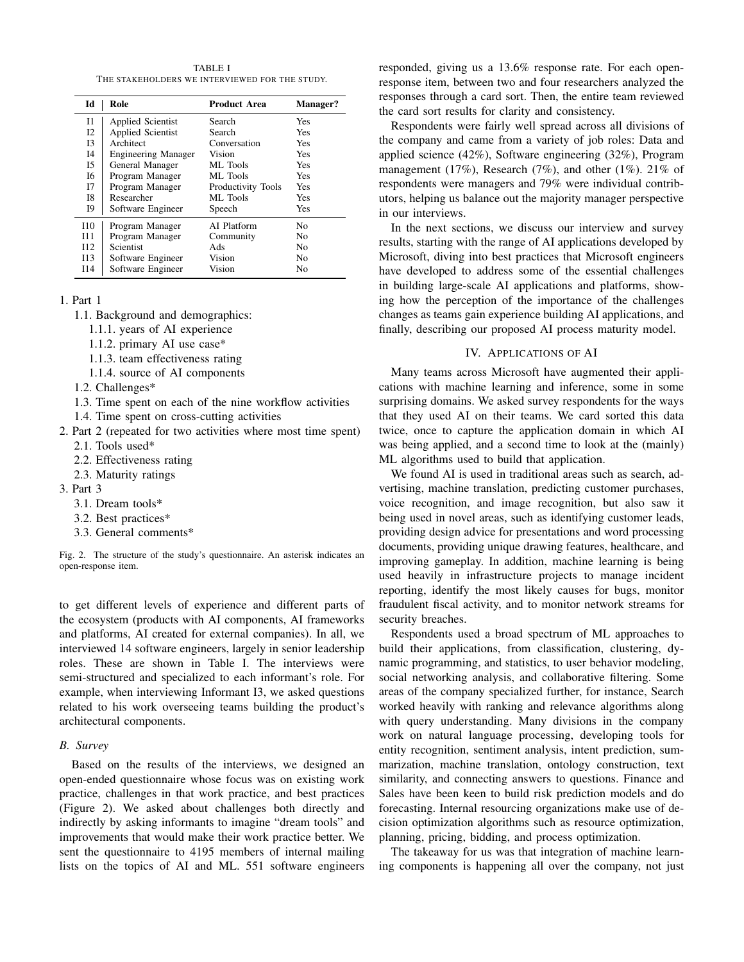TABLE I THE STAKEHOLDERS WE INTERVIEWED FOR THE STUDY.

| Id             | Role                       | <b>Product Area</b> | <b>Manager?</b> |  |
|----------------|----------------------------|---------------------|-----------------|--|
| 11             | Applied Scientist          | Search              | Yes             |  |
| 12             | <b>Applied Scientist</b>   | Search              | Yes             |  |
| I3             | Architect                  | Conversation        | <b>Yes</b>      |  |
| I <sub>4</sub> | <b>Engineering Manager</b> | Vision              | <b>Yes</b>      |  |
| 15             | General Manager            | ML Tools            | Yes             |  |
| 16             | Program Manager            | ML Tools            | Yes             |  |
| 17             | Program Manager            | Productivity Tools  | Yes             |  |
| I8             | Researcher                 | ML Tools            | Yes             |  |
| 19             | Software Engineer          | Speech              | Yes             |  |
| I10            | Program Manager            | AI Platform         | No              |  |
| I11            | Program Manager            | Community           | No              |  |
| I12            | <b>Scientist</b>           | Ads                 | No              |  |
| I13            | Software Engineer          | Vision              | No              |  |
| I14            | Software Engineer          | Vision              | No              |  |

# 1. Part 1

- 1.1. Background and demographics:
	- 1.1.1. years of AI experience
	- 1.1.2. primary AI use case\*
	- 1.1.3. team effectiveness rating
	- 1.1.4. source of AI components
- 1.2. Challenges\*
- 1.3. Time spent on each of the nine workflow activities
- 1.4. Time spent on cross-cutting activities
- 2. Part 2 (repeated for two activities where most time spent) 2.1. Tools used\*
	- 2.2. Effectiveness rating
	- 2.3. Maturity ratings
- 3. Part 3
	- 3.1. Dream tools\*
	- 3.2. Best practices\*
	- 3.3. General comments\*

Fig. 2. The structure of the study's questionnaire. An asterisk indicates an open-response item.

to get different levels of experience and different parts of the ecosystem (products with AI components, AI frameworks and platforms, AI created for external companies). In all, we interviewed 14 software engineers, largely in senior leadership roles. These are shown in Table I. The interviews were semi-structured and specialized to each informant's role. For example, when interviewing Informant I3, we asked questions related to his work overseeing teams building the product's architectural components.

#### *B. Survey*

Based on the results of the interviews, we designed an open-ended questionnaire whose focus was on existing work practice, challenges in that work practice, and best practices (Figure 2). We asked about challenges both directly and indirectly by asking informants to imagine "dream tools" and improvements that would make their work practice better. We sent the questionnaire to 4195 members of internal mailing lists on the topics of AI and ML. 551 software engineers responded, giving us a 13.6% response rate. For each openresponse item, between two and four researchers analyzed the responses through a card sort. Then, the entire team reviewed the card sort results for clarity and consistency.

Respondents were fairly well spread across all divisions of the company and came from a variety of job roles: Data and applied science (42%), Software engineering (32%), Program management (17%), Research (7%), and other (1%). 21% of respondents were managers and 79% were individual contributors, helping us balance out the majority manager perspective in our interviews.

In the next sections, we discuss our interview and survey results, starting with the range of AI applications developed by Microsoft, diving into best practices that Microsoft engineers have developed to address some of the essential challenges in building large-scale AI applications and platforms, showing how the perception of the importance of the challenges changes as teams gain experience building AI applications, and finally, describing our proposed AI process maturity model.

# IV. APPLICATIONS OF AI

Many teams across Microsoft have augmented their applications with machine learning and inference, some in some surprising domains. We asked survey respondents for the ways that they used AI on their teams. We card sorted this data twice, once to capture the application domain in which AI was being applied, and a second time to look at the (mainly) ML algorithms used to build that application.

We found AI is used in traditional areas such as search, advertising, machine translation, predicting customer purchases, voice recognition, and image recognition, but also saw it being used in novel areas, such as identifying customer leads, providing design advice for presentations and word processing documents, providing unique drawing features, healthcare, and improving gameplay. In addition, machine learning is being used heavily in infrastructure projects to manage incident reporting, identify the most likely causes for bugs, monitor fraudulent fiscal activity, and to monitor network streams for security breaches.

Respondents used a broad spectrum of ML approaches to build their applications, from classification, clustering, dynamic programming, and statistics, to user behavior modeling, social networking analysis, and collaborative filtering. Some areas of the company specialized further, for instance, Search worked heavily with ranking and relevance algorithms along with query understanding. Many divisions in the company work on natural language processing, developing tools for entity recognition, sentiment analysis, intent prediction, summarization, machine translation, ontology construction, text similarity, and connecting answers to questions. Finance and Sales have been keen to build risk prediction models and do forecasting. Internal resourcing organizations make use of decision optimization algorithms such as resource optimization, planning, pricing, bidding, and process optimization.

The takeaway for us was that integration of machine learning components is happening all over the company, not just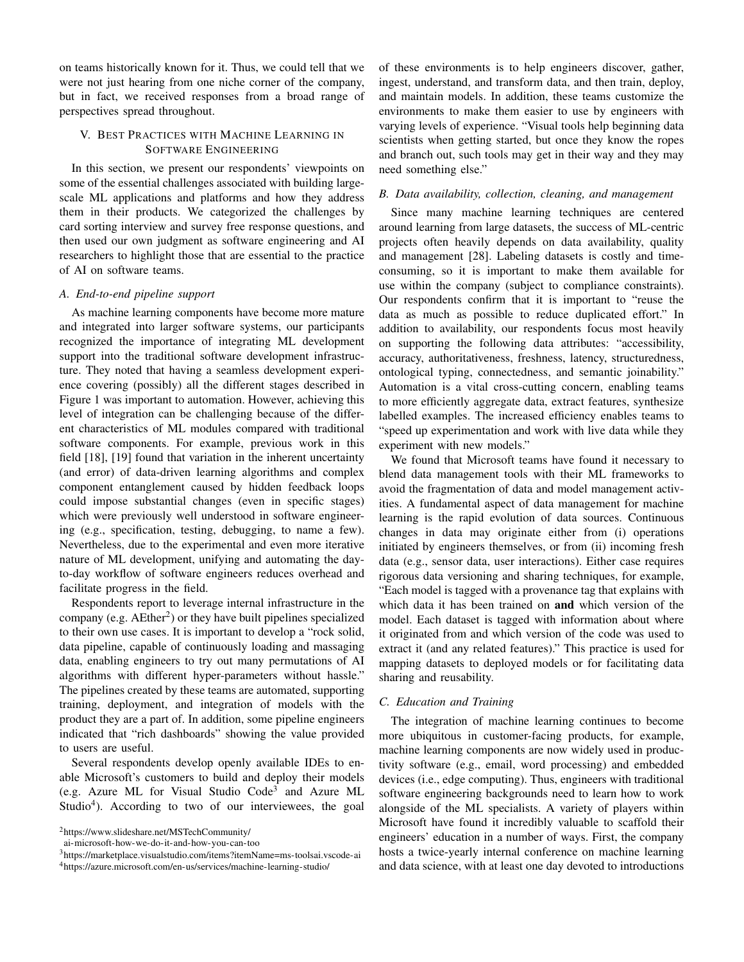on teams historically known for it. Thus, we could tell that we were not just hearing from one niche corner of the company, but in fact, we received responses from a broad range of perspectives spread throughout.

# V. BEST PRACTICES WITH MACHINE LEARNING IN SOFTWARE ENGINEERING

In this section, we present our respondents' viewpoints on some of the essential challenges associated with building largescale ML applications and platforms and how they address them in their products. We categorized the challenges by card sorting interview and survey free response questions, and then used our own judgment as software engineering and AI researchers to highlight those that are essential to the practice of AI on software teams.

#### *A. End-to-end pipeline support*

As machine learning components have become more mature and integrated into larger software systems, our participants recognized the importance of integrating ML development support into the traditional software development infrastructure. They noted that having a seamless development experience covering (possibly) all the different stages described in Figure 1 was important to automation. However, achieving this level of integration can be challenging because of the different characteristics of ML modules compared with traditional software components. For example, previous work in this field [18], [19] found that variation in the inherent uncertainty (and error) of data-driven learning algorithms and complex component entanglement caused by hidden feedback loops could impose substantial changes (even in specific stages) which were previously well understood in software engineering (e.g., specification, testing, debugging, to name a few). Nevertheless, due to the experimental and even more iterative nature of ML development, unifying and automating the dayto-day workflow of software engineers reduces overhead and facilitate progress in the field.

Respondents report to leverage internal infrastructure in the company (e.g.  $AEther<sup>2</sup>$ ) or they have built pipelines specialized to their own use cases. It is important to develop a "rock solid, data pipeline, capable of continuously loading and massaging data, enabling engineers to try out many permutations of AI algorithms with different hyper-parameters without hassle." The pipelines created by these teams are automated, supporting training, deployment, and integration of models with the product they are a part of. In addition, some pipeline engineers indicated that "rich dashboards" showing the value provided to users are useful.

Several respondents develop openly available IDEs to enable Microsoft's customers to build and deploy their models (e.g. Azure ML for Visual Studio Code<sup>3</sup> and Azure ML Studio<sup>4</sup>). According to two of our interviewees, the goal

<sup>2</sup>https://www.slideshare.net/MSTechCommunity/

ai-microsoft-how-we-do-it-and-how-you-can-too

of these environments is to help engineers discover, gather, ingest, understand, and transform data, and then train, deploy, and maintain models. In addition, these teams customize the environments to make them easier to use by engineers with varying levels of experience. "Visual tools help beginning data scientists when getting started, but once they know the ropes and branch out, such tools may get in their way and they may need something else."

# *B. Data availability, collection, cleaning, and management*

Since many machine learning techniques are centered around learning from large datasets, the success of ML-centric projects often heavily depends on data availability, quality and management [28]. Labeling datasets is costly and timeconsuming, so it is important to make them available for use within the company (subject to compliance constraints). Our respondents confirm that it is important to "reuse the data as much as possible to reduce duplicated effort." In addition to availability, our respondents focus most heavily on supporting the following data attributes: "accessibility, accuracy, authoritativeness, freshness, latency, structuredness, ontological typing, connectedness, and semantic joinability." Automation is a vital cross-cutting concern, enabling teams to more efficiently aggregate data, extract features, synthesize labelled examples. The increased efficiency enables teams to "speed up experimentation and work with live data while they experiment with new models."

We found that Microsoft teams have found it necessary to blend data management tools with their ML frameworks to avoid the fragmentation of data and model management activities. A fundamental aspect of data management for machine learning is the rapid evolution of data sources. Continuous changes in data may originate either from (i) operations initiated by engineers themselves, or from (ii) incoming fresh data (e.g., sensor data, user interactions). Either case requires rigorous data versioning and sharing techniques, for example, "Each model is tagged with a provenance tag that explains with which data it has been trained on and which version of the model. Each dataset is tagged with information about where it originated from and which version of the code was used to extract it (and any related features)." This practice is used for mapping datasets to deployed models or for facilitating data sharing and reusability.

# *C. Education and Training*

The integration of machine learning continues to become more ubiquitous in customer-facing products, for example, machine learning components are now widely used in productivity software (e.g., email, word processing) and embedded devices (i.e., edge computing). Thus, engineers with traditional software engineering backgrounds need to learn how to work alongside of the ML specialists. A variety of players within Microsoft have found it incredibly valuable to scaffold their engineers' education in a number of ways. First, the company hosts a twice-yearly internal conference on machine learning and data science, with at least one day devoted to introductions

<sup>3</sup>https://marketplace.visualstudio.com/items?itemName=ms-toolsai.vscode-ai <sup>4</sup>https://azure.microsoft.com/en-us/services/machine-learning-studio/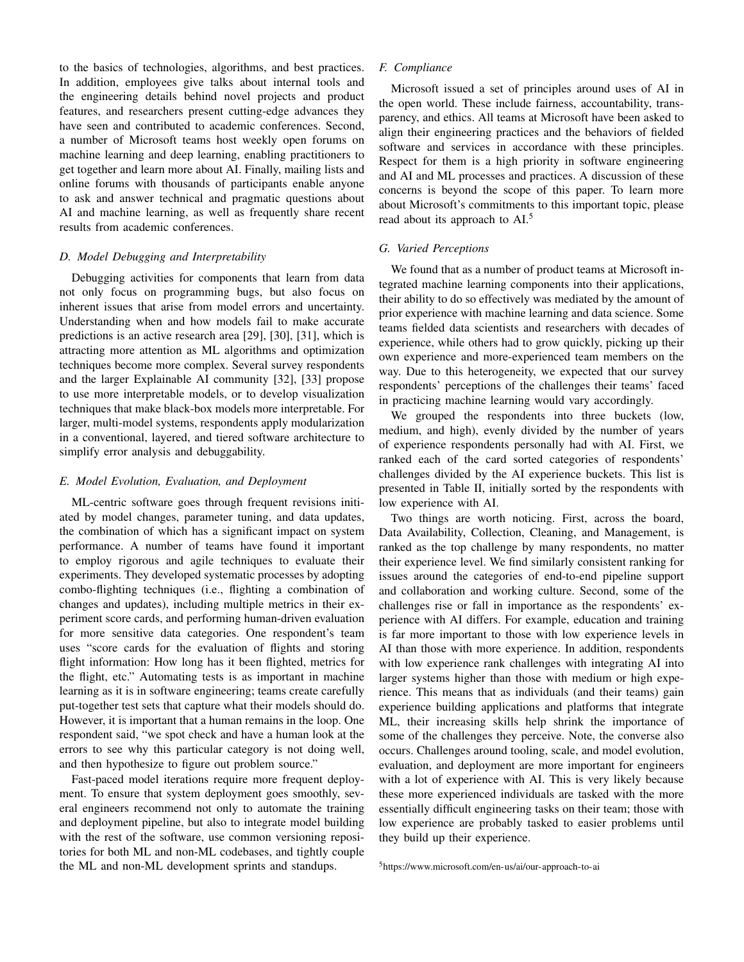to the basics of technologies, algorithms, and best practices. In addition, employees give talks about internal tools and the engineering details behind novel projects and product features, and researchers present cutting-edge advances they have seen and contributed to academic conferences. Second, a number of Microsoft teams host weekly open forums on machine learning and deep learning, enabling practitioners to get together and learn more about AI. Finally, mailing lists and online forums with thousands of participants enable anyone to ask and answer technical and pragmatic questions about AI and machine learning, as well as frequently share recent results from academic conferences.

# *D. Model Debugging and Interpretability*

Debugging activities for components that learn from data not only focus on programming bugs, but also focus on inherent issues that arise from model errors and uncertainty. Understanding when and how models fail to make accurate predictions is an active research area [29], [30], [31], which is attracting more attention as ML algorithms and optimization techniques become more complex. Several survey respondents and the larger Explainable AI community [32], [33] propose to use more interpretable models, or to develop visualization techniques that make black-box models more interpretable. For larger, multi-model systems, respondents apply modularization in a conventional, layered, and tiered software architecture to simplify error analysis and debuggability.

# *E. Model Evolution, Evaluation, and Deployment*

ML-centric software goes through frequent revisions initiated by model changes, parameter tuning, and data updates, the combination of which has a significant impact on system performance. A number of teams have found it important to employ rigorous and agile techniques to evaluate their experiments. They developed systematic processes by adopting combo-flighting techniques (i.e., flighting a combination of changes and updates), including multiple metrics in their experiment score cards, and performing human-driven evaluation for more sensitive data categories. One respondent's team uses "score cards for the evaluation of flights and storing flight information: How long has it been flighted, metrics for the flight, etc." Automating tests is as important in machine learning as it is in software engineering; teams create carefully put-together test sets that capture what their models should do. However, it is important that a human remains in the loop. One respondent said, "we spot check and have a human look at the errors to see why this particular category is not doing well, and then hypothesize to figure out problem source."

Fast-paced model iterations require more frequent deployment. To ensure that system deployment goes smoothly, several engineers recommend not only to automate the training and deployment pipeline, but also to integrate model building with the rest of the software, use common versioning repositories for both ML and non-ML codebases, and tightly couple the ML and non-ML development sprints and standups.

# *F. Compliance*

Microsoft issued a set of principles around uses of AI in the open world. These include fairness, accountability, transparency, and ethics. All teams at Microsoft have been asked to align their engineering practices and the behaviors of fielded software and services in accordance with these principles. Respect for them is a high priority in software engineering and AI and ML processes and practices. A discussion of these concerns is beyond the scope of this paper. To learn more about Microsoft's commitments to this important topic, please read about its approach to AI.<sup>5</sup>

### *G. Varied Perceptions*

We found that as a number of product teams at Microsoft integrated machine learning components into their applications, their ability to do so effectively was mediated by the amount of prior experience with machine learning and data science. Some teams fielded data scientists and researchers with decades of experience, while others had to grow quickly, picking up their own experience and more-experienced team members on the way. Due to this heterogeneity, we expected that our survey respondents' perceptions of the challenges their teams' faced in practicing machine learning would vary accordingly.

We grouped the respondents into three buckets (low, medium, and high), evenly divided by the number of years of experience respondents personally had with AI. First, we ranked each of the card sorted categories of respondents' challenges divided by the AI experience buckets. This list is presented in Table II, initially sorted by the respondents with low experience with AI.

Two things are worth noticing. First, across the board, Data Availability, Collection, Cleaning, and Management, is ranked as the top challenge by many respondents, no matter their experience level. We find similarly consistent ranking for issues around the categories of end-to-end pipeline support and collaboration and working culture. Second, some of the challenges rise or fall in importance as the respondents' experience with AI differs. For example, education and training is far more important to those with low experience levels in AI than those with more experience. In addition, respondents with low experience rank challenges with integrating AI into larger systems higher than those with medium or high experience. This means that as individuals (and their teams) gain experience building applications and platforms that integrate ML, their increasing skills help shrink the importance of some of the challenges they perceive. Note, the converse also occurs. Challenges around tooling, scale, and model evolution, evaluation, and deployment are more important for engineers with a lot of experience with AI. This is very likely because these more experienced individuals are tasked with the more essentially difficult engineering tasks on their team; those with low experience are probably tasked to easier problems until they build up their experience.

<sup>5</sup>https://www.microsoft.com/en-us/ai/our-approach-to-ai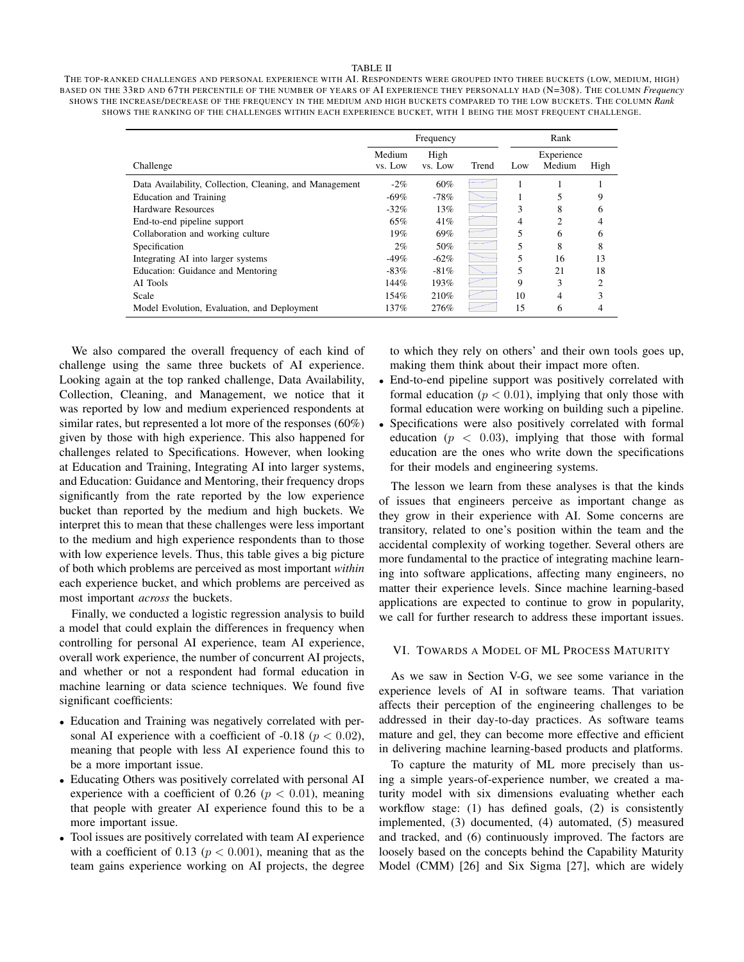#### TABLE II

THE TOP-RANKED CHALLENGES AND PERSONAL EXPERIENCE WITH AI. RESPONDENTS WERE GROUPED INTO THREE BUCKETS (LOW, MEDIUM, HIGH) BASED ON THE 33RD AND 67TH PERCENTILE OF THE NUMBER OF YEARS OF AI EXPERIENCE THEY PERSONALLY HAD (N=308). THE COLUMN *Frequency* SHOWS THE INCREASE/DECREASE OF THE FREQUENCY IN THE MEDIUM AND HIGH BUCKETS COMPARED TO THE LOW BUCKETS. THE COLUMN *Rank* SHOWS THE RANKING OF THE CHALLENGES WITHIN EACH EXPERIENCE BUCKET, WITH 1 BEING THE MOST FREQUENT CHALLENGE.

|                                                         | Frequency         |                 |       | Rank |                      |               |
|---------------------------------------------------------|-------------------|-----------------|-------|------|----------------------|---------------|
| Challenge                                               | Medium<br>vs. Low | High<br>vs. Low | Trend | Low  | Experience<br>Medium | High          |
| Data Availability, Collection, Cleaning, and Management | $-2%$             | 60%             |       |      |                      |               |
| Education and Training                                  | $-69\%$           | $-78%$          |       |      |                      | 9             |
| Hardware Resources                                      | $-32%$            | 13%             |       | 3    | 8                    | 6             |
| End-to-end pipeline support                             | 65%               | 41%             |       | 4    | 2                    | 4             |
| Collaboration and working culture                       | 19%               | 69%             |       | 5    | 6                    | 6             |
| Specification                                           | $2\%$             | 50%             |       | 5    | 8                    | 8             |
| Integrating AI into larger systems                      | $-49%$            | $-62\%$         |       | 5    | 16                   | 13            |
| Education: Guidance and Mentoring                       | $-83%$            | $-81%$          |       | 5    | 21                   | 18            |
| AI Tools                                                | 144%              | 193%            |       | 9    | 3                    | $\mathcal{D}$ |
| Scale                                                   | 154%              | 210%            |       | 10   | 4                    | ٩             |
| Model Evolution, Evaluation, and Deployment             | 137%              | 276%            |       | 15   | 6                    | 4             |

We also compared the overall frequency of each kind of challenge using the same three buckets of AI experience. Looking again at the top ranked challenge, Data Availability, Collection, Cleaning, and Management, we notice that it was reported by low and medium experienced respondents at similar rates, but represented a lot more of the responses (60%) given by those with high experience. This also happened for challenges related to Specifications. However, when looking at Education and Training, Integrating AI into larger systems, and Education: Guidance and Mentoring, their frequency drops significantly from the rate reported by the low experience bucket than reported by the medium and high buckets. We interpret this to mean that these challenges were less important to the medium and high experience respondents than to those with low experience levels. Thus, this table gives a big picture of both which problems are perceived as most important *within* each experience bucket, and which problems are perceived as most important *across* the buckets.

Finally, we conducted a logistic regression analysis to build a model that could explain the differences in frequency when controlling for personal AI experience, team AI experience, overall work experience, the number of concurrent AI projects, and whether or not a respondent had formal education in machine learning or data science techniques. We found five significant coefficients:

- Education and Training was negatively correlated with personal AI experience with a coefficient of -0.18 ( $p < 0.02$ ), meaning that people with less AI experience found this to be a more important issue.
- Educating Others was positively correlated with personal AI experience with a coefficient of 0.26 ( $p < 0.01$ ), meaning that people with greater AI experience found this to be a more important issue.
- Tool issues are positively correlated with team AI experience with a coefficient of 0.13 ( $p < 0.001$ ), meaning that as the team gains experience working on AI projects, the degree

to which they rely on others' and their own tools goes up, making them think about their impact more often.

- End-to-end pipeline support was positively correlated with formal education ( $p < 0.01$ ), implying that only those with formal education were working on building such a pipeline.
- Specifications were also positively correlated with formal education ( $p < 0.03$ ), implying that those with formal education are the ones who write down the specifications for their models and engineering systems.

The lesson we learn from these analyses is that the kinds of issues that engineers perceive as important change as they grow in their experience with AI. Some concerns are transitory, related to one's position within the team and the accidental complexity of working together. Several others are more fundamental to the practice of integrating machine learning into software applications, affecting many engineers, no matter their experience levels. Since machine learning-based applications are expected to continue to grow in popularity, we call for further research to address these important issues.

#### VI. TOWARDS A MODEL OF ML PROCESS MATURITY

As we saw in Section V-G, we see some variance in the experience levels of AI in software teams. That variation affects their perception of the engineering challenges to be addressed in their day-to-day practices. As software teams mature and gel, they can become more effective and efficient in delivering machine learning-based products and platforms.

To capture the maturity of ML more precisely than using a simple years-of-experience number, we created a maturity model with six dimensions evaluating whether each workflow stage: (1) has defined goals, (2) is consistently implemented, (3) documented, (4) automated, (5) measured and tracked, and (6) continuously improved. The factors are loosely based on the concepts behind the Capability Maturity Model (CMM) [26] and Six Sigma [27], which are widely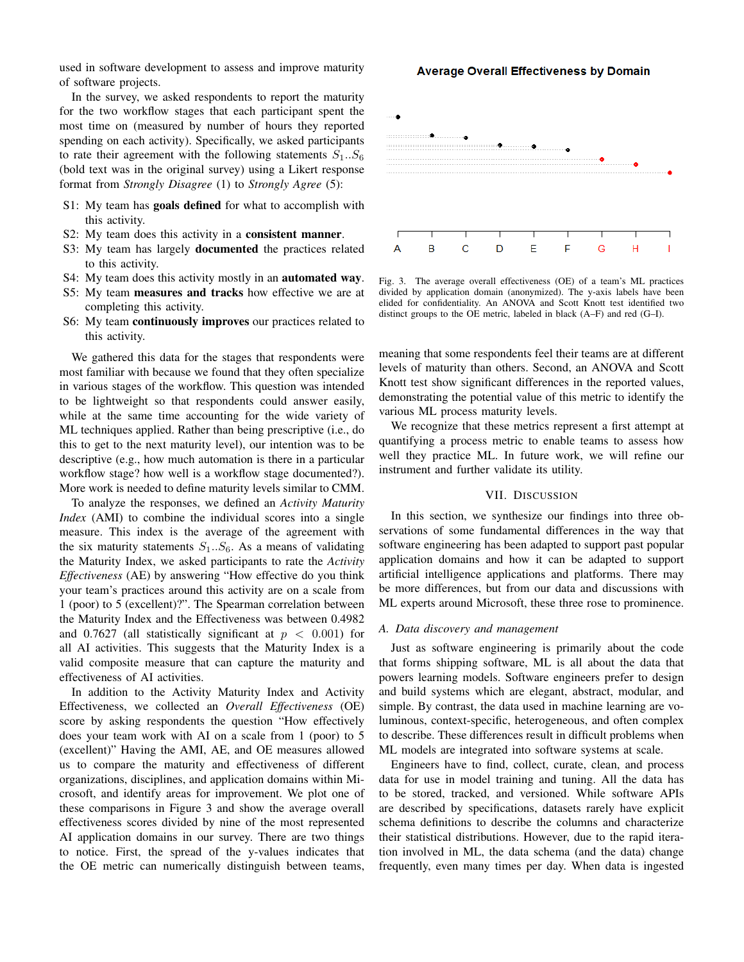used in software development to assess and improve maturity of software projects.

In the survey, we asked respondents to report the maturity for the two workflow stages that each participant spent the most time on (measured by number of hours they reported spending on each activity). Specifically, we asked participants to rate their agreement with the following statements  $S_1...S_6$ (bold text was in the original survey) using a Likert response format from *Strongly Disagree* (1) to *Strongly Agree* (5):

- S1: My team has goals defined for what to accomplish with this activity.
- S2: My team does this activity in a consistent manner.
- S3: My team has largely documented the practices related to this activity.
- S4: My team does this activity mostly in an automated way.
- S5: My team measures and tracks how effective we are at completing this activity.
- S6: My team continuously improves our practices related to this activity.

We gathered this data for the stages that respondents were most familiar with because we found that they often specialize in various stages of the workflow. This question was intended to be lightweight so that respondents could answer easily, while at the same time accounting for the wide variety of ML techniques applied. Rather than being prescriptive (i.e., do this to get to the next maturity level), our intention was to be descriptive (e.g., how much automation is there in a particular workflow stage? how well is a workflow stage documented?). More work is needed to define maturity levels similar to CMM.

To analyze the responses, we defined an *Activity Maturity Index* (AMI) to combine the individual scores into a single measure. This index is the average of the agreement with the six maturity statements  $S_1 \dots S_6$ . As a means of validating the Maturity Index, we asked participants to rate the *Activity Effectiveness* (AE) by answering "How effective do you think your team's practices around this activity are on a scale from 1 (poor) to 5 (excellent)?". The Spearman correlation between the Maturity Index and the Effectiveness was between 0.4982 and 0.7627 (all statistically significant at  $p < 0.001$ ) for all AI activities. This suggests that the Maturity Index is a valid composite measure that can capture the maturity and effectiveness of AI activities.

In addition to the Activity Maturity Index and Activity Effectiveness, we collected an *Overall Effectiveness* (OE) score by asking respondents the question "How effectively does your team work with AI on a scale from 1 (poor) to 5 (excellent)" Having the AMI, AE, and OE measures allowed us to compare the maturity and effectiveness of different organizations, disciplines, and application domains within Microsoft, and identify areas for improvement. We plot one of these comparisons in Figure 3 and show the average overall effectiveness scores divided by nine of the most represented AI application domains in our survey. There are two things to notice. First, the spread of the y-values indicates that the OE metric can numerically distinguish between teams,

#### **Average Overall Effectiveness by Domain**



Fig. 3. The average overall effectiveness (OE) of a team's ML practices divided by application domain (anonymized). The y-axis labels have been elided for confidentiality. An ANOVA and Scott Knott test identified two distinct groups to the OE metric, labeled in black (A–F) and red (G–I).

meaning that some respondents feel their teams are at different levels of maturity than others. Second, an ANOVA and Scott Knott test show significant differences in the reported values, demonstrating the potential value of this metric to identify the various ML process maturity levels.

We recognize that these metrics represent a first attempt at quantifying a process metric to enable teams to assess how well they practice ML. In future work, we will refine our instrument and further validate its utility.

#### VII. DISCUSSION

In this section, we synthesize our findings into three observations of some fundamental differences in the way that software engineering has been adapted to support past popular application domains and how it can be adapted to support artificial intelligence applications and platforms. There may be more differences, but from our data and discussions with ML experts around Microsoft, these three rose to prominence.

# *A. Data discovery and management*

Just as software engineering is primarily about the code that forms shipping software, ML is all about the data that powers learning models. Software engineers prefer to design and build systems which are elegant, abstract, modular, and simple. By contrast, the data used in machine learning are voluminous, context-specific, heterogeneous, and often complex to describe. These differences result in difficult problems when ML models are integrated into software systems at scale.

Engineers have to find, collect, curate, clean, and process data for use in model training and tuning. All the data has to be stored, tracked, and versioned. While software APIs are described by specifications, datasets rarely have explicit schema definitions to describe the columns and characterize their statistical distributions. However, due to the rapid iteration involved in ML, the data schema (and the data) change frequently, even many times per day. When data is ingested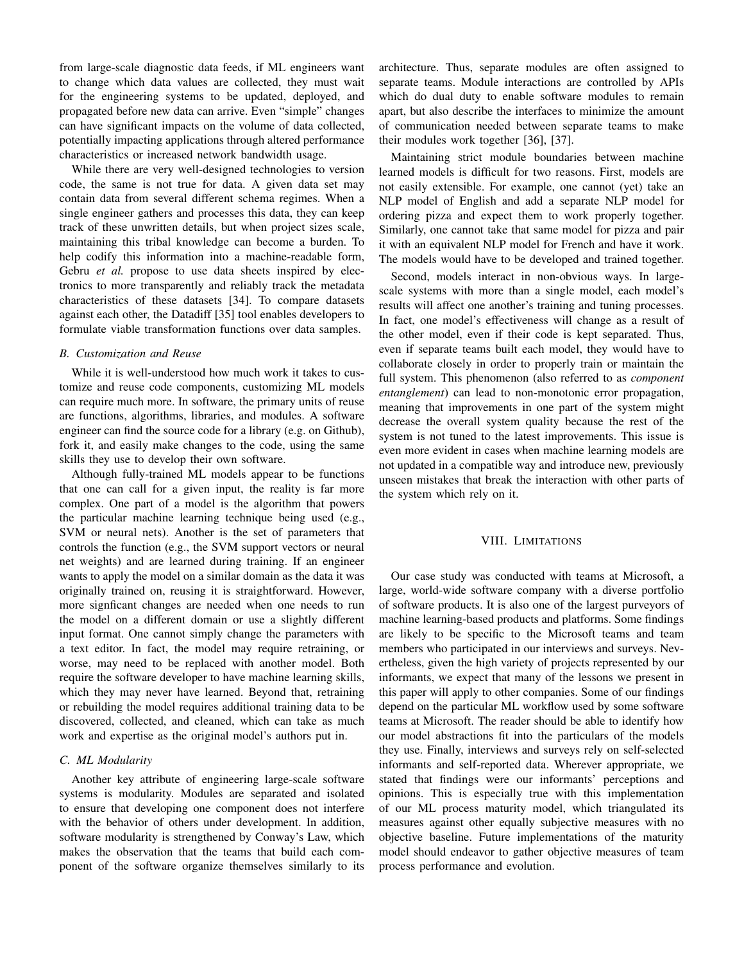from large-scale diagnostic data feeds, if ML engineers want to change which data values are collected, they must wait for the engineering systems to be updated, deployed, and propagated before new data can arrive. Even "simple" changes can have significant impacts on the volume of data collected, potentially impacting applications through altered performance characteristics or increased network bandwidth usage.

While there are very well-designed technologies to version code, the same is not true for data. A given data set may contain data from several different schema regimes. When a single engineer gathers and processes this data, they can keep track of these unwritten details, but when project sizes scale, maintaining this tribal knowledge can become a burden. To help codify this information into a machine-readable form, Gebru *et al.* propose to use data sheets inspired by electronics to more transparently and reliably track the metadata characteristics of these datasets [34]. To compare datasets against each other, the Datadiff [35] tool enables developers to formulate viable transformation functions over data samples.

# *B. Customization and Reuse*

While it is well-understood how much work it takes to customize and reuse code components, customizing ML models can require much more. In software, the primary units of reuse are functions, algorithms, libraries, and modules. A software engineer can find the source code for a library (e.g. on Github), fork it, and easily make changes to the code, using the same skills they use to develop their own software.

Although fully-trained ML models appear to be functions that one can call for a given input, the reality is far more complex. One part of a model is the algorithm that powers the particular machine learning technique being used (e.g., SVM or neural nets). Another is the set of parameters that controls the function (e.g., the SVM support vectors or neural net weights) and are learned during training. If an engineer wants to apply the model on a similar domain as the data it was originally trained on, reusing it is straightforward. However, more signficant changes are needed when one needs to run the model on a different domain or use a slightly different input format. One cannot simply change the parameters with a text editor. In fact, the model may require retraining, or worse, may need to be replaced with another model. Both require the software developer to have machine learning skills, which they may never have learned. Beyond that, retraining or rebuilding the model requires additional training data to be discovered, collected, and cleaned, which can take as much work and expertise as the original model's authors put in.

# *C. ML Modularity*

Another key attribute of engineering large-scale software systems is modularity. Modules are separated and isolated to ensure that developing one component does not interfere with the behavior of others under development. In addition, software modularity is strengthened by Conway's Law, which makes the observation that the teams that build each component of the software organize themselves similarly to its architecture. Thus, separate modules are often assigned to separate teams. Module interactions are controlled by APIs which do dual duty to enable software modules to remain apart, but also describe the interfaces to minimize the amount of communication needed between separate teams to make their modules work together [36], [37].

Maintaining strict module boundaries between machine learned models is difficult for two reasons. First, models are not easily extensible. For example, one cannot (yet) take an NLP model of English and add a separate NLP model for ordering pizza and expect them to work properly together. Similarly, one cannot take that same model for pizza and pair it with an equivalent NLP model for French and have it work. The models would have to be developed and trained together.

Second, models interact in non-obvious ways. In largescale systems with more than a single model, each model's results will affect one another's training and tuning processes. In fact, one model's effectiveness will change as a result of the other model, even if their code is kept separated. Thus, even if separate teams built each model, they would have to collaborate closely in order to properly train or maintain the full system. This phenomenon (also referred to as *component entanglement*) can lead to non-monotonic error propagation, meaning that improvements in one part of the system might decrease the overall system quality because the rest of the system is not tuned to the latest improvements. This issue is even more evident in cases when machine learning models are not updated in a compatible way and introduce new, previously unseen mistakes that break the interaction with other parts of the system which rely on it.

# VIII. LIMITATIONS

Our case study was conducted with teams at Microsoft, a large, world-wide software company with a diverse portfolio of software products. It is also one of the largest purveyors of machine learning-based products and platforms. Some findings are likely to be specific to the Microsoft teams and team members who participated in our interviews and surveys. Nevertheless, given the high variety of projects represented by our informants, we expect that many of the lessons we present in this paper will apply to other companies. Some of our findings depend on the particular ML workflow used by some software teams at Microsoft. The reader should be able to identify how our model abstractions fit into the particulars of the models they use. Finally, interviews and surveys rely on self-selected informants and self-reported data. Wherever appropriate, we stated that findings were our informants' perceptions and opinions. This is especially true with this implementation of our ML process maturity model, which triangulated its measures against other equally subjective measures with no objective baseline. Future implementations of the maturity model should endeavor to gather objective measures of team process performance and evolution.